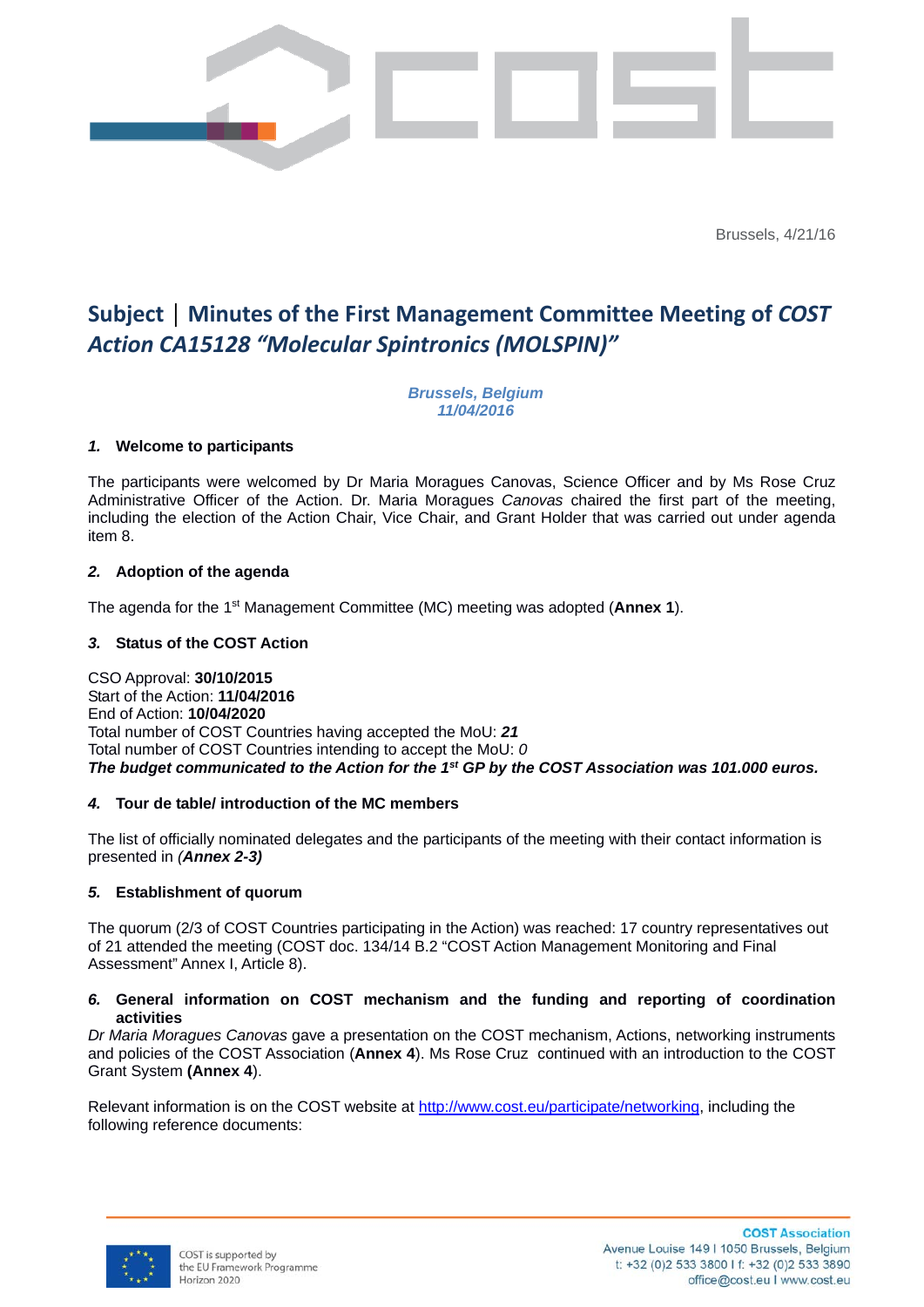

Brussels, 4/21/16

# **Subject │ Minutes of the First Management Committee Meeting of** *COST Action CA15128 "Molecular Spintronics (MOLSPIN)"*

*Brussels, Belgium 11/04/2016*

#### *1.* **Welcome to participants**

The participants were welcomed by Dr Maria Moragues Canovas, Science Officer and by Ms Rose Cruz Administrative Officer of the Action. Dr. Maria Moragues *Canovas* chaired the first part of the meeting, including the election of the Action Chair, Vice Chair, and Grant Holder that was carried out under agenda item 8.

## *2.* **Adoption of the agenda**

The agenda for the 1st Management Committee (MC) meeting was adopted (**Annex 1**).

## *3.* **Status of the COST Action**

CSO Approval: **30/10/2015** Start of the Action: **11/04/2016** End of Action: **10/04/2020** Total number of COST Countries having accepted the MoU: *21* Total number of COST Countries intending to accept the MoU: *0 The budget communicated to the Action for the 1st GP by the COST Association was 101.000 euros.*

#### *4.* **Tour de table/ introduction of the MC members**

The list of officially nominated delegates and the participants of the meeting with their contact information is presented in *(Annex 2-3)*

#### *5.* **Establishment of quorum**

The quorum (2/3 of COST Countries participating in the Action) was reached: 17 country representatives out of 21 attended the meeting (COST doc. 134/14 B.2 "COST Action Management Monitoring and Final Assessment" Annex I, Article 8).

#### *6.* **General information on COST mechanism and the funding and reporting of coordination activities**

*Dr Maria Moragues Canovas* gave a presentation on the COST mechanism, Actions, networking instruments and policies of the COST Association (**Annex 4**). Ms Rose Cruz continued with an introduction to the COST Grant System **(Annex 4**).

Relevant information is on the COST website at http://www.cost.eu/participate/networking, including the following reference documents:

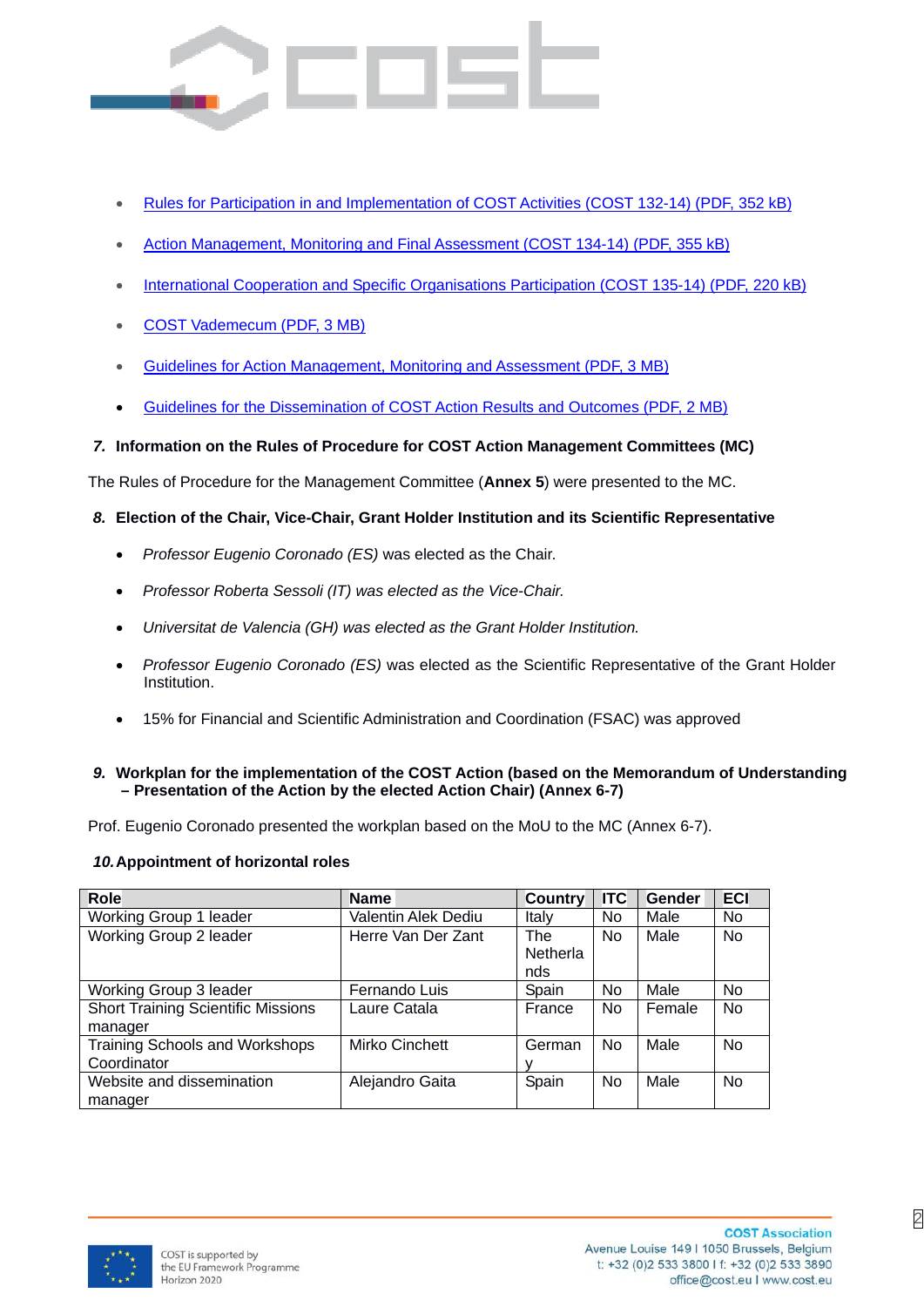- Rules for Participation in and Implementation of COST Activities (COST 132-14) (PDF, 352 kB)
- Action Management, Monitoring and Final Assessment (COST 134-14) (PDF, 355 kB)
- International Cooperation and Specific Organisations Participation (COST 135-14) (PDF, 220 kB)
- COST Vademecum (PDF, 3 MB)
- Guidelines for Action Management, Monitoring and Assessment (PDF, 3 MB)
- Guidelines for the Dissemination of COST Action Results and Outcomes (PDF, 2 MB)

# *7.* **Information on the Rules of Procedure for COST Action Management Committees (MC)**

The Rules of Procedure for the Management Committee (**Annex 5**) were presented to the MC.

# *8.* **Election of the Chair, Vice-Chair, Grant Holder Institution and its Scientific Representative**

- *Professor Eugenio Coronado (ES)* was elected as the Chair.
- *Professor Roberta Sessoli (IT) was elected as the Vice-Chair.*
- *Universitat de Valencia (GH) was elected as the Grant Holder Institution.*
- *Professor Eugenio Coronado (ES)* was elected as the Scientific Representative of the Grant Holder Institution.
- 15% for Financial and Scientific Administration and Coordination (FSAC) was approved

#### *9.* **Workplan for the implementation of the COST Action (based on the Memorandum of Understanding – Presentation of the Action by the elected Action Chair) (Annex 6-7)**

Prof. Eugenio Coronado presented the workplan based on the MoU to the MC (Annex 6-7).

#### *10.* **Appointment of horizontal roles**

| <b>Role</b>                               | <b>Name</b>           | <b>Country</b>  | <b>ITC</b> | Gender | <b>ECI</b> |
|-------------------------------------------|-----------------------|-----------------|------------|--------|------------|
| Working Group 1 leader                    | Valentin Alek Dediu   | Italy           | No         | Male   | No         |
| Working Group 2 leader                    | Herre Van Der Zant    | <b>The</b>      | No         | Male   | <b>No</b>  |
|                                           |                       | <b>Netherla</b> |            |        |            |
|                                           |                       | nds             |            |        |            |
| Working Group 3 leader                    | Fernando Luis         | Spain           | No         | Male   | <b>No</b>  |
| <b>Short Training Scientific Missions</b> | Laure Catala          | France          | No         | Female | <b>No</b>  |
| manager                                   |                       |                 |            |        |            |
| Training Schools and Workshops            | <b>Mirko Cinchett</b> | German          | No         | Male   | <b>No</b>  |
| Coordinator                               |                       |                 |            |        |            |
| Website and dissemination                 | Alejandro Gaita       | Spain           | <b>No</b>  | Male   | <b>No</b>  |
| manager                                   |                       |                 |            |        |            |



2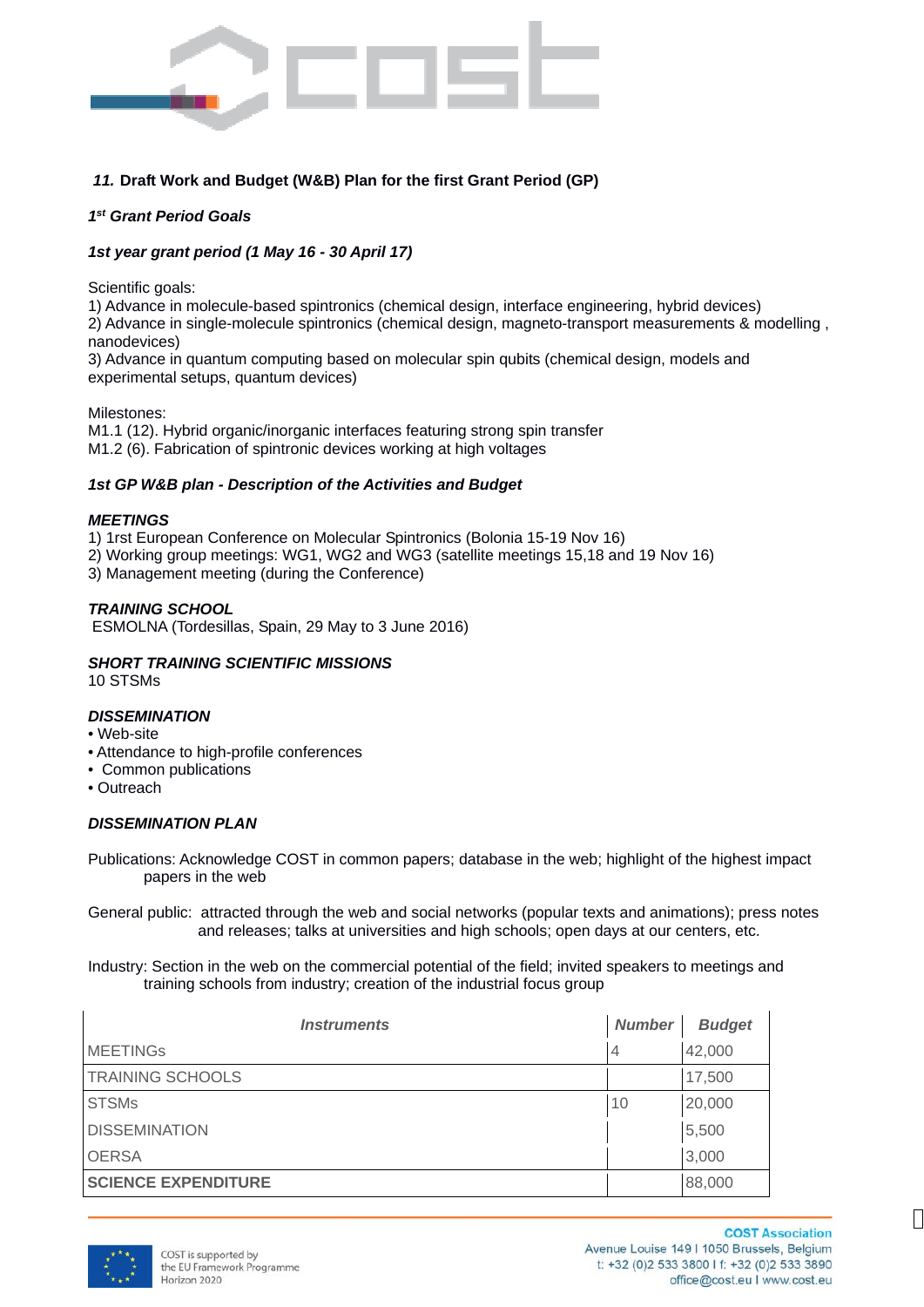

# *11.* **Draft Work and Budget (W&B) Plan for the first Grant Period (GP)**

#### *1st Grant Period Goals*

#### *1st year grant period (1 May 16 - 30 April 17)*

Scientific goals:

1) Advance in molecule-based spintronics (chemical design, interface engineering, hybrid devices)

2) Advance in single-molecule spintronics (chemical design, magneto-transport measurements & modelling , nanodevices)

3) Advance in quantum computing based on molecular spin qubits (chemical design, models and experimental setups, quantum devices)

Milestones:

M1.1 (12). Hybrid organic/inorganic interfaces featuring strong spin transfer M1.2 (6). Fabrication of spintronic devices working at high voltages

#### *1st GP W&B plan - Description of the Activities and Budget*

#### *MEETINGS*

1) 1rst European Conference on Molecular Spintronics (Bolonia 15-19 Nov 16)

2) Working group meetings: WG1, WG2 and WG3 (satellite meetings 15,18 and 19 Nov 16)

3) Management meeting (during the Conference)

#### *TRAINING SCHOOL*

ESMOLNA (Tordesillas, Spain, 29 May to 3 June 2016)

# *SHORT TRAINING SCIENTIFIC MISSIONS*

10 STSMs

#### *DISSEMINATION*

#### • Web-site

- Attendance to high-profile conferences
- Common publications
- Outreach

#### *DISSEMINATION PLAN*

Publications: Acknowledge COST in common papers; database in the web; highlight of the highest impact papers in the web

General public: attracted through the web and social networks (popular texts and animations); press notes and releases; talks at universities and high schools; open days at our centers, etc.

Industry: Section in the web on the commercial potential of the field; invited speakers to meetings and training schools from industry; creation of the industrial focus group

| <i><b>Instruments</b></i>  |    | <b>Budget</b> |
|----------------------------|----|---------------|
| <b>MEETINGs</b>            | 4  | 42,000        |
| <b>TRAINING SCHOOLS</b>    |    | 17,500        |
| <b>STSMs</b>               | 10 | 20,000        |
| <b>DISSEMINATION</b>       |    | 5,500         |
| <b>OERSA</b>               |    | 3,000         |
| <b>SCIENCE EXPENDITURE</b> |    | 88,000        |